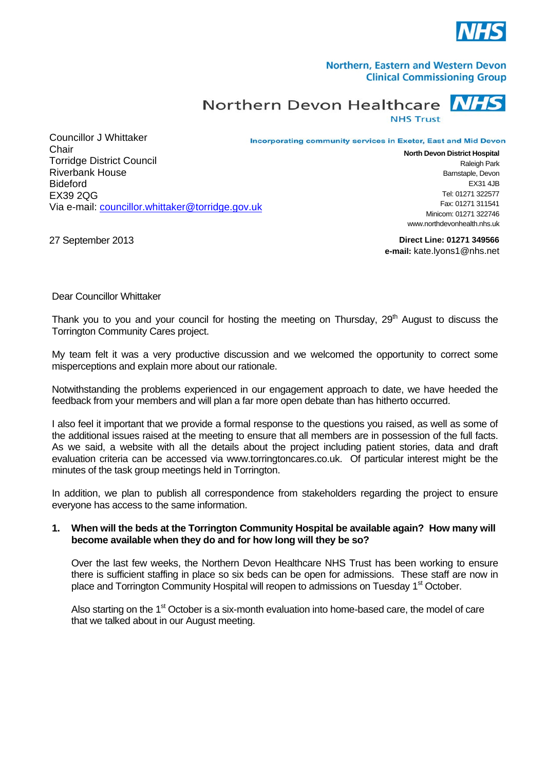

## Northern, Eastern and Western Devon **Clinical Commissioning Group**

Northern Devon Healthcare **NHS Trust** 

Incorporating community services in Exeter, East and Mid Devon

Councillor J Whittaker **Chair** Torridge District Council Riverbank House Bideford EX39 2QG Via e-mail: [councillor.whittaker@torridge.gov.uk](mailto:councillor.whittaker@torridge.gov.uk)

**North Devon District Hospital** Raleigh Park Barnstaple, Devon  $FX31$  4JB Tel: 01271 322577 Fax: 01271 311541 Minicom: 01271 322746 www.northdevonhealth.nhs.uk

27 September 2013

**Direct Line: 01271 349566 e-mail:** kate.lyons1@nhs.net

Dear Councillor Whittaker

Thank you to you and your council for hosting the meeting on Thursday,  $29<sup>th</sup>$  August to discuss the Torrington Community Cares project.

My team felt it was a very productive discussion and we welcomed the opportunity to correct some misperceptions and explain more about our rationale.

Notwithstanding the problems experienced in our engagement approach to date, we have heeded the feedback from your members and will plan a far more open debate than has hitherto occurred.

I also feel it important that we provide a formal response to the questions you raised, as well as some of the additional issues raised at the meeting to ensure that all members are in possession of the full facts. As we said, a website with all the details about the project including patient stories, data and draft evaluation criteria can be accessed via www.torringtoncares.co.uk. Of particular interest might be the minutes of the task group meetings held in Torrington.

In addition, we plan to publish all correspondence from stakeholders regarding the project to ensure everyone has access to the same information.

## **1. When will the beds at the Torrington Community Hospital be available again? How many will become available when they do and for how long will they be so?**

Over the last few weeks, the Northern Devon Healthcare NHS Trust has been working to ensure there is sufficient staffing in place so six beds can be open for admissions. These staff are now in place and Torrington Community Hospital will reopen to admissions on Tuesday 1<sup>st</sup> October.

Also starting on the 1<sup>st</sup> October is a six-month evaluation into home-based care, the model of care that we talked about in our August meeting.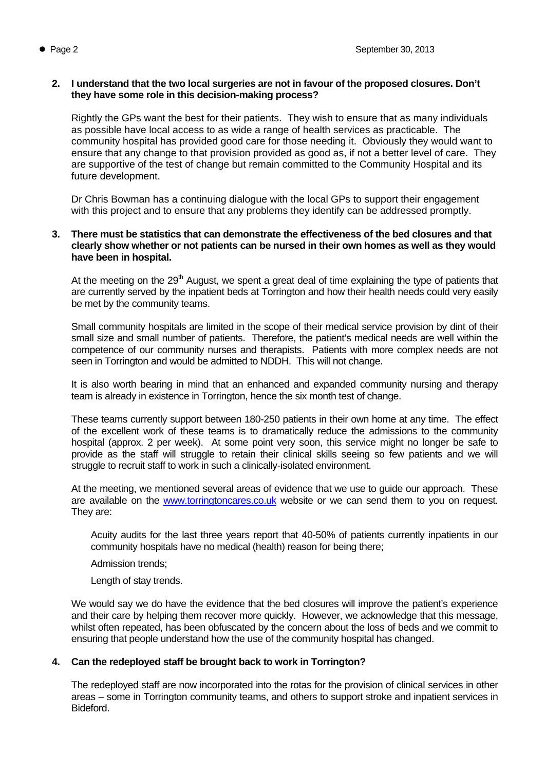## **2. I understand that the two local surgeries are not in favour of the proposed closures. Don't they have some role in this decision-making process?**

Rightly the GPs want the best for their patients. They wish to ensure that as many individuals as possible have local access to as wide a range of health services as practicable. The community hospital has provided good care for those needing it. Obviously they would want to ensure that any change to that provision provided as good as, if not a better level of care. They are supportive of the test of change but remain committed to the Community Hospital and its future development.

Dr Chris Bowman has a continuing dialogue with the local GPs to support their engagement with this project and to ensure that any problems they identify can be addressed promptly.

## **3. There must be statistics that can demonstrate the effectiveness of the bed closures and that clearly show whether or not patients can be nursed in their own homes as well as they would have been in hospital.**

At the meeting on the  $29<sup>th</sup>$  August, we spent a great deal of time explaining the type of patients that are currently served by the inpatient beds at Torrington and how their health needs could very easily be met by the community teams.

Small community hospitals are limited in the scope of their medical service provision by dint of their small size and small number of patients. Therefore, the patient's medical needs are well within the competence of our community nurses and therapists. Patients with more complex needs are not seen in Torrington and would be admitted to NDDH. This will not change.

It is also worth bearing in mind that an enhanced and expanded community nursing and therapy team is already in existence in Torrington, hence the six month test of change.

These teams currently support between 180-250 patients in their own home at any time. The effect of the excellent work of these teams is to dramatically reduce the admissions to the community hospital (approx. 2 per week). At some point very soon, this service might no longer be safe to provide as the staff will struggle to retain their clinical skills seeing so few patients and we will struggle to recruit staff to work in such a clinically-isolated environment.

At the meeting, we mentioned several areas of evidence that we use to guide our approach. These are available on the [www.torringtoncares.co.uk](http://www.torringtoncares.co.uk/) website or we can send them to you on request. They are:

Acuity audits for the last three years report that 40-50% of patients currently inpatients in our community hospitals have no medical (health) reason for being there;

Admission trends;

Length of stay trends.

We would say we do have the evidence that the bed closures will improve the patient's experience and their care by helping them recover more quickly. However, we acknowledge that this message, whilst often repeated, has been obfuscated by the concern about the loss of beds and we commit to ensuring that people understand how the use of the community hospital has changed.

# **4. Can the redeployed staff be brought back to work in Torrington?**

The redeployed staff are now incorporated into the rotas for the provision of clinical services in other areas – some in Torrington community teams, and others to support stroke and inpatient services in Bideford.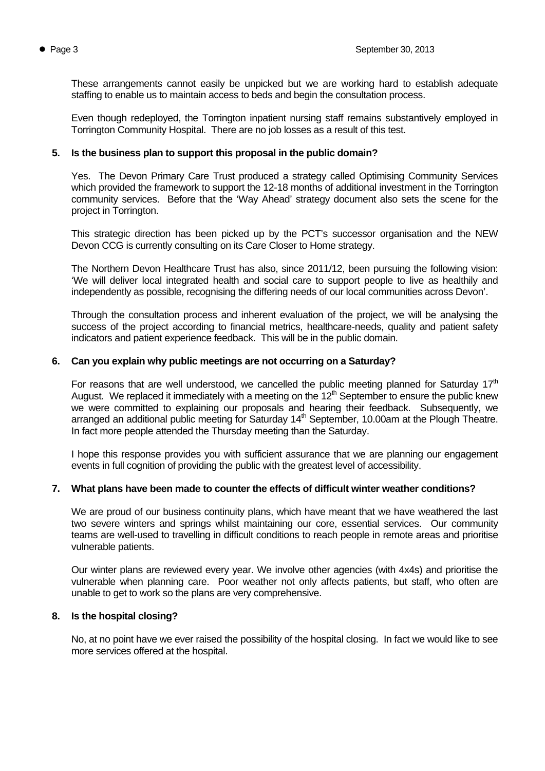These arrangements cannot easily be unpicked but we are working hard to establish adequate staffing to enable us to maintain access to beds and begin the consultation process.

Even though redeployed, the Torrington inpatient nursing staff remains substantively employed in Torrington Community Hospital. There are no job losses as a result of this test.

## **5. Is the business plan to support this proposal in the public domain?**

Yes. The Devon Primary Care Trust produced a strategy called Optimising Community Services which provided the framework to support the 12-18 months of additional investment in the Torrington community services. Before that the 'Way Ahead' strategy document also sets the scene for the project in Torrington.

This strategic direction has been picked up by the PCT's successor organisation and the NEW Devon CCG is currently consulting on its Care Closer to Home strategy.

The Northern Devon Healthcare Trust has also, since 2011/12, been pursuing the following vision: 'We will deliver local integrated health and social care to support people to live as healthily and independently as possible, recognising the differing needs of our local communities across Devon'.

Through the consultation process and inherent evaluation of the project, we will be analysing the success of the project according to financial metrics, healthcare-needs, quality and patient safety indicators and patient experience feedback. This will be in the public domain.

#### **6. Can you explain why public meetings are not occurring on a Saturday?**

For reasons that are well understood, we cancelled the public meeting planned for Saturday  $17<sup>th</sup>$ August. We replaced it immediately with a meeting on the  $12<sup>th</sup>$  September to ensure the public knew we were committed to explaining our proposals and hearing their feedback. Subsequently, we arranged an additional public meeting for Saturday  $14<sup>th</sup>$  September, 10.00am at the Plough Theatre. In fact more people attended the Thursday meeting than the Saturday.

I hope this response provides you with sufficient assurance that we are planning our engagement events in full cognition of providing the public with the greatest level of accessibility.

#### **7. What plans have been made to counter the effects of difficult winter weather conditions?**

We are proud of our business continuity plans, which have meant that we have weathered the last two severe winters and springs whilst maintaining our core, essential services. Our community teams are well-used to travelling in difficult conditions to reach people in remote areas and prioritise vulnerable patients.

Our winter plans are reviewed every year. We involve other agencies (with 4x4s) and prioritise the vulnerable when planning care. Poor weather not only affects patients, but staff, who often are unable to get to work so the plans are very comprehensive.

#### **8. Is the hospital closing?**

No, at no point have we ever raised the possibility of the hospital closing. In fact we would like to see more services offered at the hospital.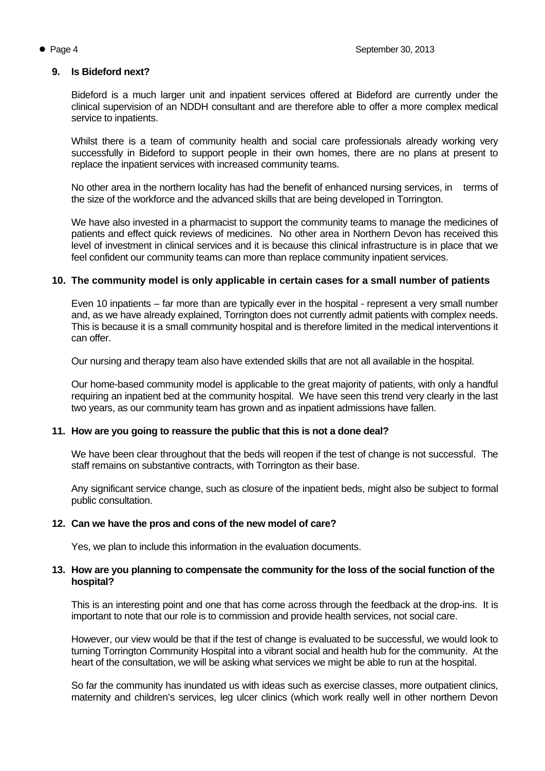## **9. Is Bideford next?**

Bideford is a much larger unit and inpatient services offered at Bideford are currently under the clinical supervision of an NDDH consultant and are therefore able to offer a more complex medical service to inpatients.

Whilst there is a team of community health and social care professionals already working very successfully in Bideford to support people in their own homes, there are no plans at present to replace the inpatient services with increased community teams.

No other area in the northern locality has had the benefit of enhanced nursing services, in terms of the size of the workforce and the advanced skills that are being developed in Torrington.

We have also invested in a pharmacist to support the community teams to manage the medicines of patients and effect quick reviews of medicines. No other area in Northern Devon has received this level of investment in clinical services and it is because this clinical infrastructure is in place that we feel confident our community teams can more than replace community inpatient services.

## **10. The community model is only applicable in certain cases for a small number of patients**

Even 10 inpatients – far more than are typically ever in the hospital - represent a very small number and, as we have already explained, Torrington does not currently admit patients with complex needs. This is because it is a small community hospital and is therefore limited in the medical interventions it can offer.

Our nursing and therapy team also have extended skills that are not all available in the hospital.

Our home-based community model is applicable to the great majority of patients, with only a handful requiring an inpatient bed at the community hospital. We have seen this trend very clearly in the last two years, as our community team has grown and as inpatient admissions have fallen.

## **11. How are you going to reassure the public that this is not a done deal?**

We have been clear throughout that the beds will reopen if the test of change is not successful. The staff remains on substantive contracts, with Torrington as their base.

Any significant service change, such as closure of the inpatient beds, might also be subject to formal public consultation.

#### **12. Can we have the pros and cons of the new model of care?**

Yes, we plan to include this information in the evaluation documents.

#### **13. How are you planning to compensate the community for the loss of the social function of the hospital?**

This is an interesting point and one that has come across through the feedback at the drop-ins. It is important to note that our role is to commission and provide health services, not social care.

However, our view would be that if the test of change is evaluated to be successful, we would look to turning Torrington Community Hospital into a vibrant social and health hub for the community. At the heart of the consultation, we will be asking what services we might be able to run at the hospital.

So far the community has inundated us with ideas such as exercise classes, more outpatient clinics, maternity and children's services, leg ulcer clinics (which work really well in other northern Devon